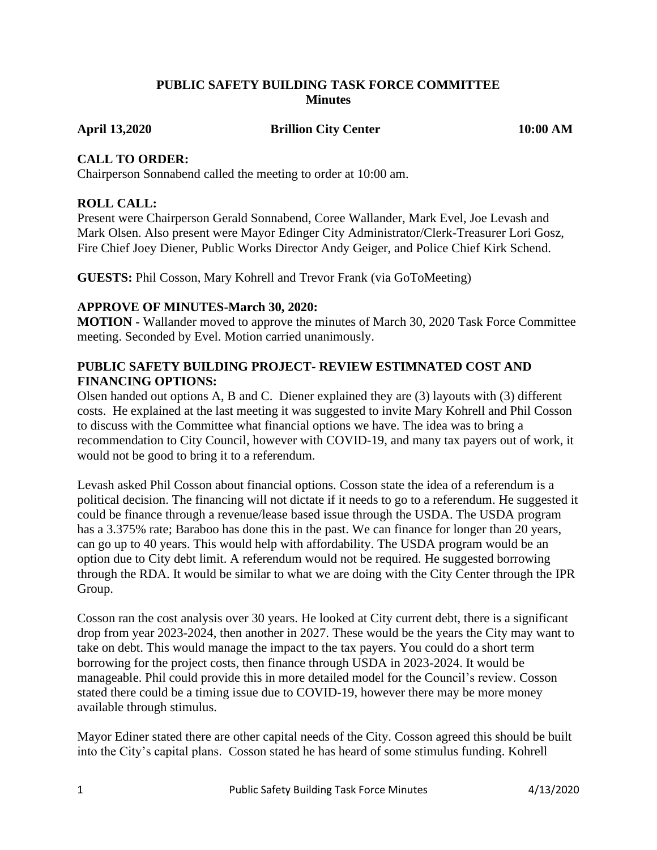### **PUBLIC SAFETY BUILDING TASK FORCE COMMITTEE Minutes**

April 13,2020 **Brillion City Center** 10:00 AM

### **CALL TO ORDER:**

Chairperson Sonnabend called the meeting to order at 10:00 am.

# **ROLL CALL:**

Present were Chairperson Gerald Sonnabend, Coree Wallander, Mark Evel, Joe Levash and Mark Olsen. Also present were Mayor Edinger City Administrator/Clerk-Treasurer Lori Gosz, Fire Chief Joey Diener, Public Works Director Andy Geiger, and Police Chief Kirk Schend.

**GUESTS:** Phil Cosson, Mary Kohrell and Trevor Frank (via GoToMeeting)

## **APPROVE OF MINUTES-March 30, 2020:**

**MOTION -** Wallander moved to approve the minutes of March 30, 2020 Task Force Committee meeting. Seconded by Evel. Motion carried unanimously.

# **PUBLIC SAFETY BUILDING PROJECT- REVIEW ESTIMNATED COST AND FINANCING OPTIONS:**

Olsen handed out options A, B and C. Diener explained they are (3) layouts with (3) different costs. He explained at the last meeting it was suggested to invite Mary Kohrell and Phil Cosson to discuss with the Committee what financial options we have. The idea was to bring a recommendation to City Council, however with COVID-19, and many tax payers out of work, it would not be good to bring it to a referendum.

Levash asked Phil Cosson about financial options. Cosson state the idea of a referendum is a political decision. The financing will not dictate if it needs to go to a referendum. He suggested it could be finance through a revenue/lease based issue through the USDA. The USDA program has a 3.375% rate; Baraboo has done this in the past. We can finance for longer than 20 years, can go up to 40 years. This would help with affordability. The USDA program would be an option due to City debt limit. A referendum would not be required. He suggested borrowing through the RDA. It would be similar to what we are doing with the City Center through the IPR Group.

Cosson ran the cost analysis over 30 years. He looked at City current debt, there is a significant drop from year 2023-2024, then another in 2027. These would be the years the City may want to take on debt. This would manage the impact to the tax payers. You could do a short term borrowing for the project costs, then finance through USDA in 2023-2024. It would be manageable. Phil could provide this in more detailed model for the Council's review. Cosson stated there could be a timing issue due to COVID-19, however there may be more money available through stimulus.

Mayor Ediner stated there are other capital needs of the City. Cosson agreed this should be built into the City's capital plans. Cosson stated he has heard of some stimulus funding. Kohrell